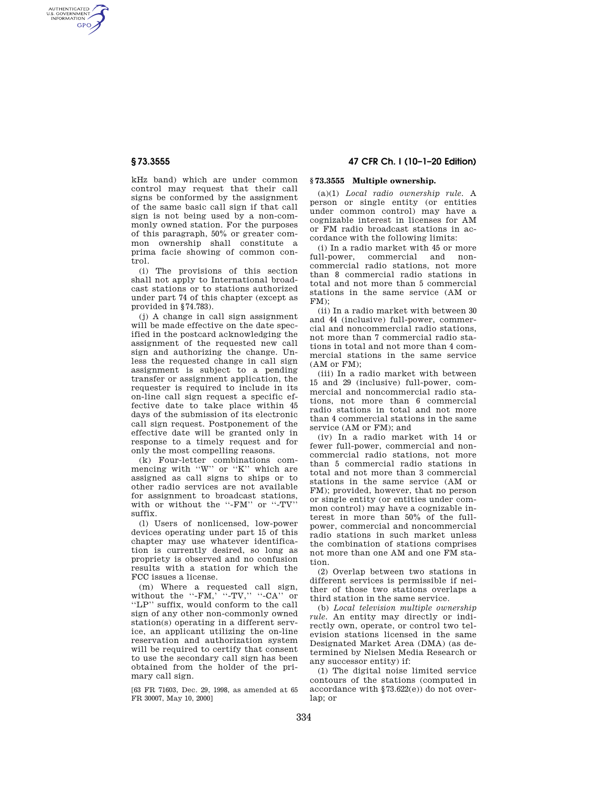AUTHENTICATED<br>U.S. GOVERNMENT<br>INFORMATION **GPO** 

> kHz band) which are under common control may request that their call signs be conformed by the assignment of the same basic call sign if that call sign is not being used by a non-commonly owned station. For the purposes of this paragraph, 50% or greater common ownership shall constitute a prima facie showing of common control.

> (i) The provisions of this section shall not apply to International broadcast stations or to stations authorized under part 74 of this chapter (except as provided in §74.783).

(j) A change in call sign assignment will be made effective on the date specified in the postcard acknowledging the assignment of the requested new call sign and authorizing the change. Unless the requested change in call sign assignment is subject to a pending transfer or assignment application, the requester is required to include in its on-line call sign request a specific effective date to take place within 45 days of the submission of its electronic call sign request. Postponement of the effective date will be granted only in response to a timely request and for only the most compelling reasons.

(k) Four-letter combinations commencing with "W" or "K" which are assigned as call signs to ships or to other radio services are not available for assignment to broadcast stations, with or without the ''-FM'' or ''-TV'' suffix.

(l) Users of nonlicensed, low-power devices operating under part 15 of this chapter may use whatever identification is currently desired, so long as propriety is observed and no confusion results with a station for which the FCC issues a license.

(m) Where a requested call sign, without the  $``-FM, ``-TV," ``-CA"$  or ''LP'' suffix, would conform to the call sign of any other non-commonly owned station(s) operating in a different service, an applicant utilizing the on-line reservation and authorization system will be required to certify that consent to use the secondary call sign has been obtained from the holder of the primary call sign.

[63 FR 71603, Dec. 29, 1998, as amended at 65 FR 30007, May 10, 2000]

# **§ 73.3555 47 CFR Ch. I (10–1–20 Edition)**

## **§ 73.3555 Multiple ownership.**

(a)(1) *Local radio ownership rule.* A person or single entity (or entities under common control) may have a cognizable interest in licenses for AM or FM radio broadcast stations in accordance with the following limits:

(i) In a radio market with 45 or more full-power, commercial and noncommercial radio stations, not more than 8 commercial radio stations in total and not more than 5 commercial stations in the same service (AM or FM);

(ii) In a radio market with between 30 and 44 (inclusive) full-power, commercial and noncommercial radio stations, not more than 7 commercial radio stations in total and not more than 4 commercial stations in the same service (AM or FM);

(iii) In a radio market with between 15 and 29 (inclusive) full-power, commercial and noncommercial radio stations, not more than 6 commercial radio stations in total and not more than 4 commercial stations in the same service (AM or FM); and

(iv) In a radio market with 14 or fewer full-power, commercial and noncommercial radio stations, not more than 5 commercial radio stations in total and not more than 3 commercial stations in the same service (AM or FM); provided, however, that no person or single entity (or entities under common control) may have a cognizable interest in more than 50% of the fullpower, commercial and noncommercial radio stations in such market unless the combination of stations comprises not more than one AM and one FM station.

(2) Overlap between two stations in different services is permissible if neither of those two stations overlaps a third station in the same service.

(b) *Local television multiple ownership rule.* An entity may directly or indirectly own, operate, or control two television stations licensed in the same Designated Market Area (DMA) (as determined by Nielsen Media Research or any successor entity) if:

(1) The digital noise limited service contours of the stations (computed in accordance with §73.622(e)) do not overlap; or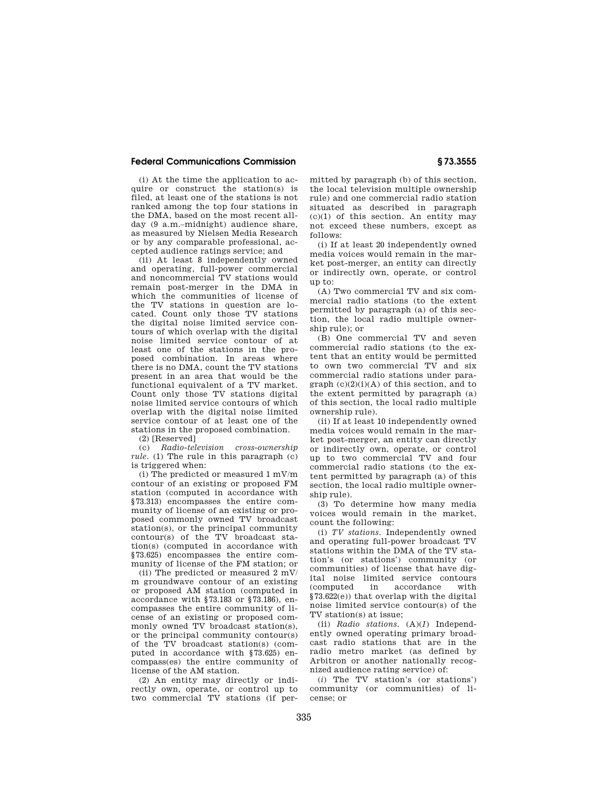(i) At the time the application to acquire or construct the station(s) is filed, at least one of the stations is not ranked among the top four stations in the DMA, based on the most recent allday (9 a.m.–midnight) audience share, as measured by Nielsen Media Research or by any comparable professional, accepted audience ratings service; and

(ii) At least 8 independently owned and operating, full-power commercial and noncommercial TV stations would remain post-merger in the DMA in which the communities of license of the TV stations in question are located. Count only those TV stations the digital noise limited service contours of which overlap with the digital noise limited service contour of at least one of the stations in the proposed combination. In areas where there is no DMA, count the TV stations present in an area that would be the functional equivalent of a TV market. Count only those TV stations digital noise limited service contours of which overlap with the digital noise limited service contour of at least one of the stations in the proposed combination.

(2) [Reserved]

(c) *Radio-television cross-ownership rule.* (1) The rule in this paragraph (c) is triggered when:

(i) The predicted or measured 1 mV/m contour of an existing or proposed FM station (computed in accordance with §73.313) encompasses the entire community of license of an existing or proposed commonly owned TV broadcast station(s), or the principal community contour(s) of the TV broadcast station(s) (computed in accordance with §73.625) encompasses the entire community of license of the FM station; or

(ii) The predicted or measured 2 mV/ m groundwave contour of an existing or proposed AM station (computed in accordance with §73.183 or §73.186), encompasses the entire community of license of an existing or proposed commonly owned TV broadcast station(s), or the principal community contour(s) of the TV broadcast station(s) (computed in accordance with §73.625) encompass(es) the entire community of license of the AM station.

(2) An entity may directly or indirectly own, operate, or control up to two commercial TV stations (if permitted by paragraph (b) of this section, the local television multiple ownership rule) and one commercial radio station situated as described in paragraph  $(c)(1)$  of this section. An entity may not exceed these numbers, except as follows:

(i) If at least 20 independently owned media voices would remain in the market post-merger, an entity can directly or indirectly own, operate, or control up to:

(A) Two commercial TV and six commercial radio stations (to the extent permitted by paragraph (a) of this section, the local radio multiple ownership rule); or

(B) One commercial TV and seven commercial radio stations (to the extent that an entity would be permitted to own two commercial TV and six commercial radio stations under para $graph (c)(2)(i)(A)$  of this section, and to the extent permitted by paragraph (a) of this section, the local radio multiple ownership rule).

(ii) If at least 10 independently owned media voices would remain in the market post-merger, an entity can directly or indirectly own, operate, or control up to two commercial TV and four commercial radio stations (to the extent permitted by paragraph (a) of this section, the local radio multiple ownership rule).

(3) To determine how many media voices would remain in the market, count the following:

(i) *TV stations.* Independently owned and operating full-power broadcast TV stations within the DMA of the TV station's (or stations') community (or communities) of license that have digital noise limited service contours (computed in accordance with §73.622(e)) that overlap with the digital noise limited service contour(s) of the TV station(s) at issue;

(ii) *Radio stations.* (A)(*1*) Independently owned operating primary broadcast radio stations that are in the radio metro market (as defined by Arbitron or another nationally recognized audience rating service) of:

(*i*) The TV station's (or stations') community (or communities) of license; or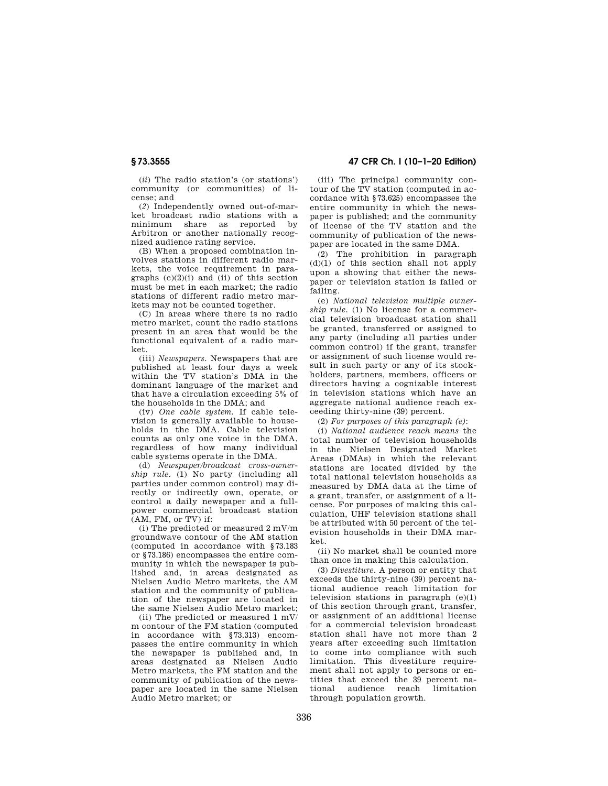(*ii*) The radio station's (or stations') community (or communities) of license; and

(*2*) Independently owned out-of-market broadcast radio stations with a minimum share as reported by Arbitron or another nationally recognized audience rating service.

(B) When a proposed combination involves stations in different radio markets, the voice requirement in paragraphs  $(c)(2)(i)$  and  $(ii)$  of this section must be met in each market; the radio stations of different radio metro markets may not be counted together.

(C) In areas where there is no radio metro market, count the radio stations present in an area that would be the functional equivalent of a radio market.

(iii) *Newspapers.* Newspapers that are published at least four days a week within the TV station's DMA in the dominant language of the market and that have a circulation exceeding 5% of the households in the DMA; and

(iv) *One cable system.* If cable television is generally available to households in the DMA. Cable television counts as only one voice in the DMA, regardless of how many individual cable systems operate in the DMA.

(d) *Newspaper/broadcast cross-ownership rule.* (1) No party (including all parties under common control) may directly or indirectly own, operate, or control a daily newspaper and a fullpower commercial broadcast station (AM, FM, or TV) if:

(i) The predicted or measured 2 mV/m groundwave contour of the AM station (computed in accordance with §73.183 or §73.186) encompasses the entire community in which the newspaper is published and, in areas designated as Nielsen Audio Metro markets, the AM station and the community of publication of the newspaper are located in the same Nielsen Audio Metro market;

(ii) The predicted or measured  $1 \text{ mV}$ m contour of the FM station (computed in accordance with §73.313) encompasses the entire community in which the newspaper is published and, in areas designated as Nielsen Audio Metro markets, the FM station and the community of publication of the newspaper are located in the same Nielsen Audio Metro market; or

**§ 73.3555 47 CFR Ch. I (10–1–20 Edition)** 

(iii) The principal community contour of the TV station (computed in accordance with §73.625) encompasses the entire community in which the newspaper is published; and the community of license of the TV station and the community of publication of the newspaper are located in the same DMA.

(2) The prohibition in paragraph (d)(1) of this section shall not apply upon a showing that either the newspaper or television station is failed or failing.

(e) *National television multiple ownership rule.* (1) No license for a commercial television broadcast station shall be granted, transferred or assigned to any party (including all parties under common control) if the grant, transfer or assignment of such license would result in such party or any of its stockholders, partners, members, officers or directors having a cognizable interest in television stations which have an aggregate national audience reach exceeding thirty-nine (39) percent.

(2) *For purposes of this paragraph (e)*:

(i) *National audience reach means* the total number of television households in the Nielsen Designated Market Areas (DMAs) in which the relevant stations are located divided by the total national television households as measured by DMA data at the time of a grant, transfer, or assignment of a license. For purposes of making this calculation, UHF television stations shall be attributed with 50 percent of the television households in their DMA market.

(ii) No market shall be counted more than once in making this calculation.

(3) *Divestiture.* A person or entity that exceeds the thirty-nine (39) percent national audience reach limitation for television stations in paragraph  $(e)(1)$ of this section through grant, transfer, or assignment of an additional license for a commercial television broadcast station shall have not more than 2 years after exceeding such limitation to come into compliance with such limitation. This divestiture requirement shall not apply to persons or entities that exceed the 39 percent national audience reach limitation through population growth.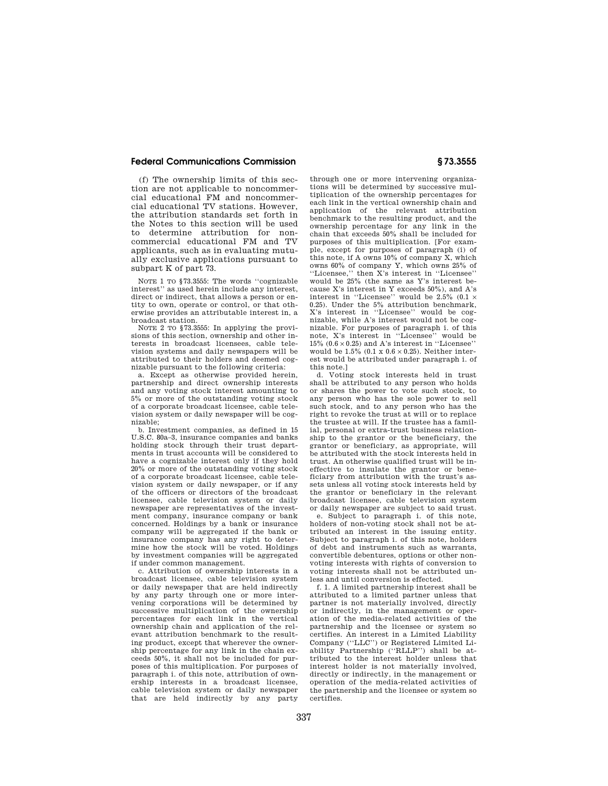(f) The ownership limits of this section are not applicable to noncommercial educational FM and noncommercial educational TV stations. However, the attribution standards set forth in the Notes to this section will be used to determine attribution for noncommercial educational FM and TV applicants, such as in evaluating mutually exclusive applications pursuant to subpart K of part 73.

NOTE 1 TO §73.3555: The words ''cognizable interest'' as used herein include any interest, direct or indirect, that allows a person or entity to own, operate or control, or that otherwise provides an attributable interest in, a broadcast station.

NOTE 2 TO §73.3555: In applying the provisions of this section, ownership and other interests in broadcast licensees, cable television systems and daily newspapers will be attributed to their holders and deemed cognizable pursuant to the following criteria:

a. Except as otherwise provided herein, partnership and direct ownership interests and any voting stock interest amounting to 5% or more of the outstanding voting stock of a corporate broadcast licensee, cable television system or daily newspaper will be cognizable;

b. Investment companies, as defined in 15 U.S.C. 80a–3, insurance companies and banks holding stock through their trust departments in trust accounts will be considered to have a cognizable interest only if they hold 20% or more of the outstanding voting stock of a corporate broadcast licensee, cable television system or daily newspaper, or if any of the officers or directors of the broadcast licensee, cable television system or daily newspaper are representatives of the investment company, insurance company or bank concerned. Holdings by a bank or insurance company will be aggregated if the bank or insurance company has any right to determine how the stock will be voted. Holdings by investment companies will be aggregated if under common management.

c. Attribution of ownership interests in a broadcast licensee, cable television system or daily newspaper that are held indirectly by any party through one or more intervening corporations will be determined by successive multiplication of the ownership percentages for each link in the vertical ownership chain and application of the relevant attribution benchmark to the resulting product, except that wherever the ownership percentage for any link in the chain exceeds 50%, it shall not be included for purposes of this multiplication. For purposes of paragraph i. of this note, attribution of ownership interests in a broadcast licensee, cable television system or daily newspaper that are held indirectly by any party

through one or more intervening organizations will be determined by successive multiplication of the ownership percentages for each link in the vertical ownership chain and application of the relevant attribution benchmark to the resulting product, and the ownership percentage for any link in the chain that exceeds 50% shall be included for purposes of this multiplication. [For example, except for purposes of paragraph (i) of this note, if A owns 10% of company X, which owns 60% of company Y, which owns 25% of ''Licensee,'' then X's interest in ''Licensee'' would be 25% (the same as Y's interest because X's interest in Y exceeds 50%), and A's interest in "Licensee" would be  $2.5\%$  (0.1  $\times$ 0.25). Under the 5% attribution benchmark, X's interest in "Licensee" would be cognizable, while A's interest would not be cognizable. For purposes of paragraph i. of this note, X's interest in ''Licensee'' would be 15% (0.6 × 0.25) and A's interest in ''Licensee'' would be  $1.5\%$  (0.1 x 0.6  $\times$  0.25). Neither interest would be attributed under paragraph i. of this note.]

d. Voting stock interests held in trust shall be attributed to any person who holds or shares the power to vote such stock, to any person who has the sole power to sell such stock, and to any person who has the right to revoke the trust at will or to replace the trustee at will. If the trustee has a familial, personal or extra-trust business relationship to the grantor or the beneficiary, the grantor or beneficiary, as appropriate, will be attributed with the stock interests held in trust. An otherwise qualified trust will be ineffective to insulate the grantor or beneficiary from attribution with the trust's assets unless all voting stock interests held by the grantor or beneficiary in the relevant broadcast licensee, cable television system or daily newspaper are subject to said trust.

e. Subject to paragraph i. of this note, holders of non-voting stock shall not be attributed an interest in the issuing entity. Subject to paragraph i. of this note, holders of debt and instruments such as warrants, convertible debentures, options or other nonvoting interests with rights of conversion to voting interests shall not be attributed unless and until conversion is effected.

f. 1. A limited partnership interest shall be attributed to a limited partner unless that partner is not materially involved, directly or indirectly, in the management or operation of the media-related activities of the partnership and the licensee or system so certifies. An interest in a Limited Liability Company (''LLC'') or Registered Limited Liability Partnership (''RLLP'') shall be attributed to the interest holder unless that interest holder is not materially involved, directly or indirectly, in the management or operation of the media-related activities of the partnership and the licensee or system so certifies.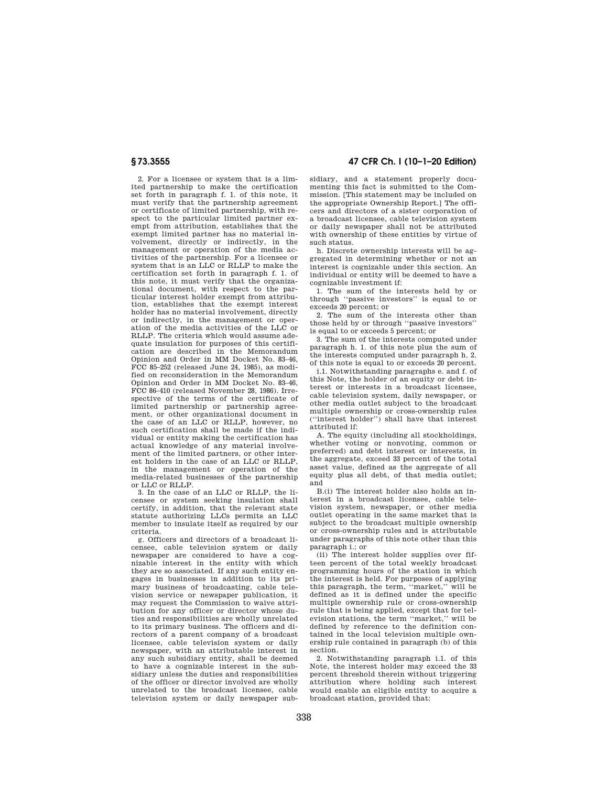2. For a licensee or system that is a limited partnership to make the certification set forth in paragraph f. 1. of this note, it must verify that the partnership agreement or certificate of limited partnership, with respect to the particular limited partner exempt from attribution, establishes that the exempt limited partner has no material involvement, directly or indirectly, in the management or operation of the media activities of the partnership. For a licensee or system that is an LLC or RLLP to make the certification set forth in paragraph f. 1. of this note, it must verify that the organizational document, with respect to the particular interest holder exempt from attribution, establishes that the exempt interest holder has no material involvement, directly or indirectly, in the management or operation of the media activities of the LLC or RLLP. The criteria which would assume adequate insulation for purposes of this certification are described in the Memorandum Opinion and Order in MM Docket No. 83–46, FCC 85–252 (released June 24, 1985), as modified on reconsideration in the Memorandum Opinion and Order in MM Docket No. 83–46, FCC 86–410 (released November 28, 1986). Irrespective of the terms of the certificate of limited partnership or partnership agreement, or other organizational document in the case of an LLC or RLLP, however, no such certification shall be made if the individual or entity making the certification has actual knowledge of any material involvement of the limited partners, or other interest holders in the case of an LLC or RLLP, in the management or operation of the media-related businesses of the partnership or LLC or RLLP.

3. In the case of an LLC or RLLP, the licensee or system seeking insulation shall certify, in addition, that the relevant state statute authorizing LLCs permits an LLC member to insulate itself as required by our criteria.

g. Officers and directors of a broadcast licensee, cable television system or daily newspaper are considered to have a cognizable interest in the entity with which they are so associated. If any such entity engages in businesses in addition to its primary business of broadcasting, cable television service or newspaper publication, it may request the Commission to waive attribution for any officer or director whose duties and responsibilities are wholly unrelated to its primary business. The officers and directors of a parent company of a broadcast licensee, cable television system or daily newspaper, with an attributable interest in any such subsidiary entity, shall be deemed to have a cognizable interest in the subsidiary unless the duties and responsibilities of the officer or director involved are wholly unrelated to the broadcast licensee, cable television system or daily newspaper sub-

# **§ 73.3555 47 CFR Ch. I (10–1–20 Edition)**

sidiary, and a statement properly documenting this fact is submitted to the Commission. [This statement may be included on the appropriate Ownership Report.] The officers and directors of a sister corporation of a broadcast licensee, cable television system or daily newspaper shall not be attributed with ownership of these entities by virtue of such status.

h. Discrete ownership interests will be aggregated in determining whether or not an interest is cognizable under this section. An individual or entity will be deemed to have a cognizable investment if:

1. The sum of the interests held by or through ''passive investors'' is equal to or exceeds 20 percent; or

2. The sum of the interests other than those held by or through ''passive investors'' is equal to or exceeds 5 percent; or

3. The sum of the interests computed under paragraph h. 1. of this note plus the sum of the interests computed under paragraph h. 2. of this note is equal to or exceeds 20 percent.

i.1. Notwithstanding paragraphs e. and f. of this Note, the holder of an equity or debt interest or interests in a broadcast licensee, cable television system, daily newspaper, or other media outlet subject to the broadcast multiple ownership or cross-ownership rules (''interest holder'') shall have that interest attributed if:

A. The equity (including all stockholdings, whether voting or nonvoting, common or preferred) and debt interest or interests, in the aggregate, exceed 33 percent of the total asset value, defined as the aggregate of all equity plus all debt, of that media outlet; and

B.(i) The interest holder also holds an interest in a broadcast licensee, cable television system, newspaper, or other media outlet operating in the same market that is subject to the broadcast multiple ownership or cross-ownership rules and is attributable under paragraphs of this note other than this paragraph i.; or

(ii) The interest holder supplies over fifteen percent of the total weekly broadcast programming hours of the station in which the interest is held. For purposes of applying this paragraph, the term, ''market,'' will be defined as it is defined under the specific multiple ownership rule or cross-ownership rule that is being applied, except that for television stations, the term ''market,'' will be defined by reference to the definition contained in the local television multiple ownership rule contained in paragraph (b) of this section.

2. Notwithstanding paragraph i.1. of this Note, the interest holder may exceed the 33 percent threshold therein without triggering attribution where holding such interest would enable an eligible entity to acquire a broadcast station, provided that: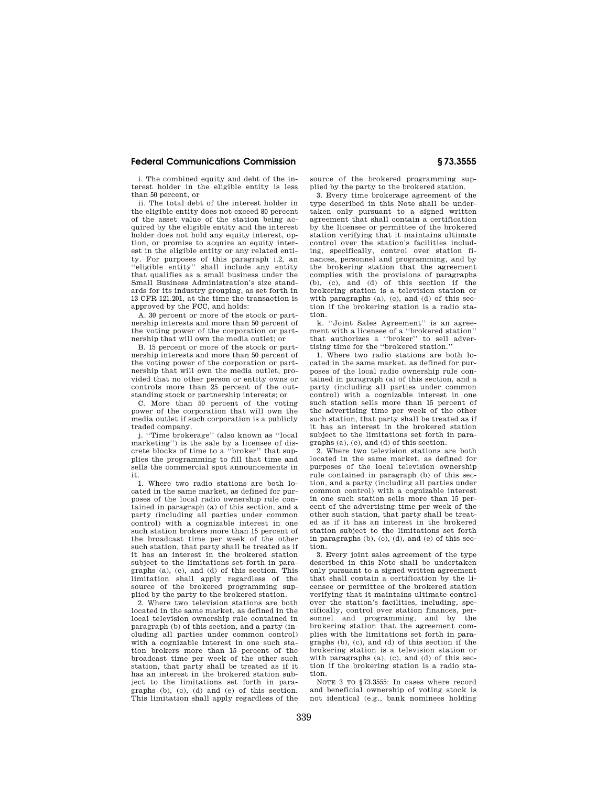i. The combined equity and debt of the interest holder in the eligible entity is less than 50 percent, or

ii. The total debt of the interest holder in the eligible entity does not exceed 80 percent of the asset value of the station being acquired by the eligible entity and the interest holder does not hold any equity interest, option, or promise to acquire an equity interest in the eligible entity or any related entity. For purposes of this paragraph i.2, an ''eligible entity'' shall include any entity that qualifies as a small business under the Small Business Administration's size standards for its industry grouping, as set forth in 13 CFR 121.201, at the time the transaction is approved by the FCC, and holds:

A. 30 percent or more of the stock or partnership interests and more than 50 percent of the voting power of the corporation or partnership that will own the media outlet; or

B. 15 percent or more of the stock or partnership interests and more than 50 percent of the voting power of the corporation or partnership that will own the media outlet, provided that no other person or entity owns or controls more than 25 percent of the outstanding stock or partnership interests; or

C. More than 50 percent of the voting power of the corporation that will own the media outlet if such corporation is a publicly traded company.

j. ''Time brokerage'' (also known as ''local marketing'') is the sale by a licensee of discrete blocks of time to a ''broker'' that supplies the programming to fill that time and sells the commercial spot announcements in it.

1. Where two radio stations are both located in the same market, as defined for purposes of the local radio ownership rule contained in paragraph (a) of this section, and a party (including all parties under common control) with a cognizable interest in one such station brokers more than 15 percent of the broadcast time per week of the other such station, that party shall be treated as if it has an interest in the brokered station subject to the limitations set forth in paragraphs (a), (c), and (d) of this section. This limitation shall apply regardless of the source of the brokered programming supplied by the party to the brokered station.

2. Where two television stations are both located in the same market, as defined in the local television ownership rule contained in paragraph (b) of this section, and a party (including all parties under common control) with a cognizable interest in one such station brokers more than 15 percent of the broadcast time per week of the other such station, that party shall be treated as if it has an interest in the brokered station subject to the limitations set forth in paragraphs (b), (c), (d) and (e) of this section. This limitation shall apply regardless of the

source of the brokered programming supplied by the party to the brokered station.

3. Every time brokerage agreement of the type described in this Note shall be undertaken only pursuant to a signed written agreement that shall contain a certification by the licensee or permittee of the brokered station verifying that it maintains ultimate control over the station's facilities including, specifically, control over station finances, personnel and programming, and by the brokering station that the agreement complies with the provisions of paragraphs  $(b)$ ,  $(c)$ , and  $(d)$  of this section if the brokering station is a television station or with paragraphs (a), (c), and (d) of this section if the brokering station is a radio station.

k. ''Joint Sales Agreement'' is an agreement with a licensee of a ''brokered station'' that authorizes a ''broker'' to sell advertising time for the ''brokered station.''

1. Where two radio stations are both located in the same market, as defined for purposes of the local radio ownership rule contained in paragraph (a) of this section, and a party (including all parties under common control) with a cognizable interest in one such station sells more than 15 percent of the advertising time per week of the other such station, that party shall be treated as if it has an interest in the brokered station subject to the limitations set forth in paragraphs (a), (c), and (d) of this section.

2. Where two television stations are both located in the same market, as defined for purposes of the local television ownership rule contained in paragraph (b) of this section, and a party (including all parties under common control) with a cognizable interest in one such station sells more than 15 percent of the advertising time per week of the other such station, that party shall be treated as if it has an interest in the brokered station subject to the limitations set forth in paragraphs (b), (c), (d), and (e) of this section.

3. Every joint sales agreement of the type described in this Note shall be undertaken only pursuant to a signed written agreement that shall contain a certification by the licensee or permittee of the brokered station verifying that it maintains ultimate control over the station's facilities, including, specifically, control over station finances, personnel and programming, and by brokering station that the agreement complies with the limitations set forth in paragraphs (b), (c), and (d) of this section if the brokering station is a television station or with paragraphs (a), (c), and (d) of this section if the brokering station is a radio station.

NOTE 3 TO  $$73.3555$ : In cases where record and beneficial ownership of voting stock is not identical (e.g., bank nominees holding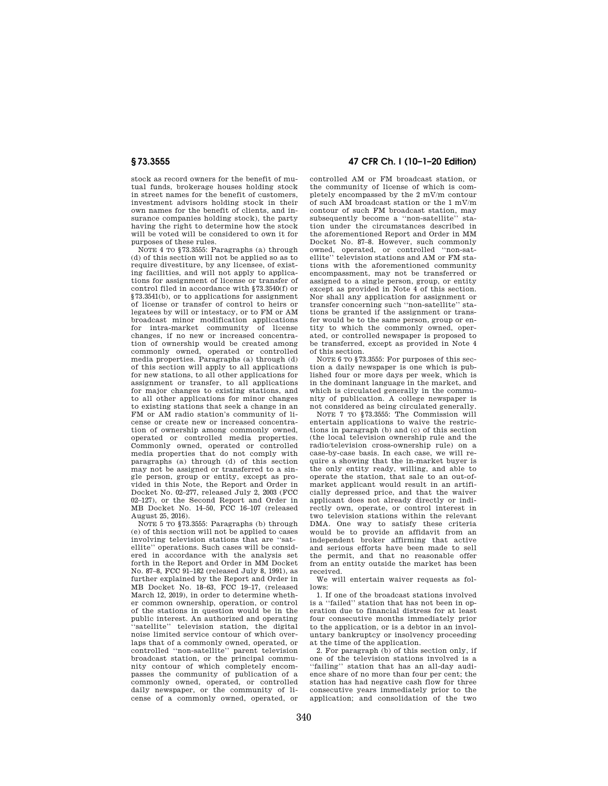stock as record owners for the benefit of mutual funds, brokerage houses holding stock in street names for the benefit of customers, investment advisors holding stock in their own names for the benefit of clients, and insurance companies holding stock), the party having the right to determine how the stock will be voted will be considered to own it for purposes of these rules.

NOTE 4 TO §73.3555: Paragraphs (a) through (d) of this section will not be applied so as to require divestiture, by any licensee, of existing facilities, and will not apply to applications for assignment of license or transfer of control filed in accordance with §73.3540(f) or §73.3541(b), or to applications for assignment of license or transfer of control to heirs or legatees by will or intestacy, or to FM or AM broadcast minor modification applications for intra-market community of license changes, if no new or increased concentration of ownership would be created among commonly owned, operated or controlled media properties. Paragraphs (a) through (d) of this section will apply to all applications for new stations, to all other applications for assignment or transfer, to all applications for major changes to existing stations, and to all other applications for minor changes to existing stations that seek a change in an FM or AM radio station's community of license or create new or increased concentration of ownership among commonly owned, operated or controlled media properties. Commonly owned, operated or controlled media properties that do not comply with paragraphs (a) through (d) of this section may not be assigned or transferred to a single person, group or entity, except as provided in this Note, the Report and Order in Docket No. 02–277, released July 2, 2003 (FCC 02–127), or the Second Report and Order in MB Docket No. 14–50, FCC 16–107 (released August 25, 2016).

NOTE 5 TO §73.3555: Paragraphs (b) through (e) of this section will not be applied to cases involving television stations that are ''satellite'' operations. Such cases will be considered in accordance with the analysis set forth in the Report and Order in MM Docket No. 87–8, FCC 91–182 (released July 8, 1991), as further explained by the Report and Order in MB Docket No. 18–63, FCC 19–17, (released March 12, 2019), in order to determine whether common ownership, operation, or control of the stations in question would be in the public interest. An authorized and operating 'satellite'' television station, the digital noise limited service contour of which overlaps that of a commonly owned, operated, or controlled ''non-satellite'' parent television broadcast station, or the principal community contour of which completely encompasses the community of publication of a commonly owned, operated, or controlled daily newspaper, or the community of license of a commonly owned, operated, or

## **§ 73.3555 47 CFR Ch. I (10–1–20 Edition)**

controlled AM or FM broadcast station, or the community of license of which is completely encompassed by the 2 mV/m contour of such AM broadcast station or the 1 mV/m contour of such FM broadcast station, may subsequently become a ''non-satellite'' station under the circumstances described in the aforementioned Report and Order in MM Docket No. 87–8. However, such commonly owned, operated, or controlled ''non-satellite'' television stations and AM or FM stations with the aforementioned community encompassment, may not be transferred or assigned to a single person, group, or entity except as provided in Note 4 of this section. Nor shall any application for assignment or transfer concerning such ''non-satellite'' stations be granted if the assignment or transfer would be to the same person, group or entity to which the commonly owned, operated, or controlled newspaper is proposed to be transferred, except as provided in Note 4 of this section.

NOTE 6 TO §73.3555: For purposes of this section a daily newspaper is one which is published four or more days per week, which is in the dominant language in the market, and which is circulated generally in the community of publication. A college newspaper is not considered as being circulated generally.

NOTE 7 TO §73.3555: The Commission will entertain applications to waive the restrictions in paragraph (b) and (c) of this section (the local television ownership rule and the radio/television cross-ownership rule) on a case-by-case basis. In each case, we will require a showing that the in-market buyer is the only entity ready, willing, and able to operate the station, that sale to an out-ofmarket applicant would result in an artificially depressed price, and that the waiver applicant does not already directly or indirectly own, operate, or control interest in two television stations within the relevant DMA. One way to satisfy these criteria would be to provide an affidavit from an independent broker affirming that active and serious efforts have been made to sell the permit, and that no reasonable offer from an entity outside the market has been received.

We will entertain waiver requests as follows:

1. If one of the broadcast stations involved is a ''failed'' station that has not been in operation due to financial distress for at least four consecutive months immediately prior to the application, or is a debtor in an involuntary bankruptcy or insolvency proceeding at the time of the application.

2. For paragraph (b) of this section only, if one of the television stations involved is a 'failing'' station that has an all-day audience share of no more than four per cent; the station has had negative cash flow for three consecutive years immediately prior to the application; and consolidation of the two